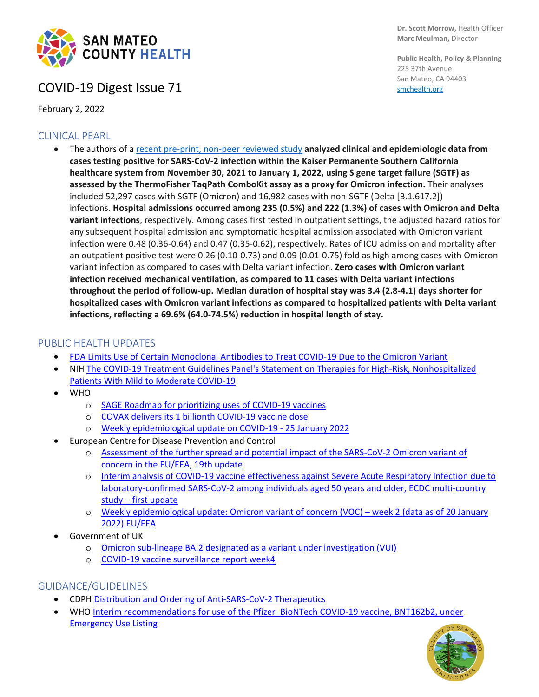

## COVID-19 Digest Issue 71

February 2, 2022

### CLINICAL PEARL

• The authors of a [recent pre-print, non-peer reviewed study](https://www.medrxiv.org/content/10.1101/2022.01.11.22269045v1) **analyzed clinical and epidemiologic data from cases testing positive for SARS-CoV-2 infection within the Kaiser Permanente Southern California healthcare system from November 30, 2021 to January 1, 2022, using S gene target failure (SGTF) as assessed by the ThermoFisher TaqPath ComboKit assay as a proxy for Omicron infection.** Their analyses included 52,297 cases with SGTF (Omicron) and 16,982 cases with non-SGTF (Delta [B.1.617.2]) infections. **Hospital admissions occurred among 235 (0.5%) and 222 (1.3%) of cases with Omicron and Delta variant infections**, respectively. Among cases first tested in outpatient settings, the adjusted hazard ratios for any subsequent hospital admission and symptomatic hospital admission associated with Omicron variant infection were 0.48 (0.36-0.64) and 0.47 (0.35-0.62), respectively. Rates of ICU admission and mortality after an outpatient positive test were 0.26 (0.10-0.73) and 0.09 (0.01-0.75) fold as high among cases with Omicron variant infection as compared to cases with Delta variant infection. **Zero cases with Omicron variant infection received mechanical ventilation, as compared to 11 cases with Delta variant infections throughout the period of follow-up. Median duration of hospital stay was 3.4 (2.8-4.1) days shorter for hospitalized cases with Omicron variant infections as compared to hospitalized patients with Delta variant infections, reflecting a 69.6% (64.0-74.5%) reduction in hospital length of stay.**

### PUBLIC HEALTH UPDATES

- [FDA Limits Use of Certain Monoclonal Antibodies to Treat COVID-19 Due to the Omicron Variant](https://www.fda.gov/news-events/press-announcements/coronavirus-covid-19-update-fda-limits-use-certain-monoclonal-antibodies-treat-covid-19-due-omicron)
- NIH [The COVID-19 Treatment Guidelines Panel's Statement on Therapies for High-Risk, Nonhospitalized](https://www.covid19treatmentguidelines.nih.gov/therapies/statement-on-therapies-for-high-risk-nonhospitalized-patients/)  [Patients With Mild to Moderate COVID-19](https://www.covid19treatmentguidelines.nih.gov/therapies/statement-on-therapies-for-high-risk-nonhospitalized-patients/)
- WHO
	- o [SAGE Roadmap for prioritizing uses of COVID-19 vaccines](https://www.who.int/publications/i/item/who-sage-roadmap-for-prioritizing-uses-of-covid-19-vaccines)
	- o [COVAX delivers its 1 billionth COVID-19 vaccine dose](https://www.who.int/news/item/16-01-2022-covax-delivers-its-1-billionth-covid-19-vaccine-dose)
	- o [Weekly epidemiological update on COVID-19 -](https://www.who.int/publications/m/item/weekly-epidemiological-update-on-covid-19---25-january-2022) 25 January 2022
- European Centre for Disease Prevention and Control
	- o [Assessment of the further spread and potential impact of the SARS-CoV-2 Omicron variant of](https://www.ecdc.europa.eu/en/publications-data/covid-19-omicron-risk-assessment-further-emergence-and-potential-impact)  [concern in the EU/EEA, 19th update](https://www.ecdc.europa.eu/en/publications-data/covid-19-omicron-risk-assessment-further-emergence-and-potential-impact)
	- o [Interim analysis of COVID-19 vaccine effectiveness against Severe Acute Respiratory Infection due to](https://www.ecdc.europa.eu/en/publications-data/interim-analysis-covid-19-vaccine-effectiveness-against-severe-acute-respiratory)  [laboratory-confirmed SARS-CoV-2 among individuals aged 50 years and older, ECDC multi-country](https://www.ecdc.europa.eu/en/publications-data/interim-analysis-covid-19-vaccine-effectiveness-against-severe-acute-respiratory)  study – [first update](https://www.ecdc.europa.eu/en/publications-data/interim-analysis-covid-19-vaccine-effectiveness-against-severe-acute-respiratory)
	- o [Weekly epidemiological update: Omicron variant of concern \(VOC\) –](https://www.ecdc.europa.eu/en/news-events/weekly-epidemiological-update-omicron-variant-concern-voc-week-2-data-20-january-2022) week 2 (data as of 20 January [2022\) EU/EEA](https://www.ecdc.europa.eu/en/news-events/weekly-epidemiological-update-omicron-variant-concern-voc-week-2-data-20-january-2022)
- Government of UK
	- o [Omicron sub-lineage BA.2 designated as a variant under investigation \(VUI\)](https://www.gov.uk/government/news/covid-19-variants-identified-in-the-uk)
	- o [COVID-19 vaccine surveillance report week4](https://assets.publishing.service.gov.uk/government/uploads/system/uploads/attachment_data/file/1050721/Vaccine-surveillance-report-week-4.pdf)

### GUIDANCE/GUIDELINES

- CDPH [Distribution and Ordering of Anti-SARS-CoV-2 Therapeutics](https://www.cdph.ca.gov/Programs/CID/DCDC/Pages/COVID-19/COVID-19-Treatments-Distribution-and-Ordering.aspx)
- WH[O Interim recommendations for use of the Pfizer–BioNTech COVID-19 vaccine, BNT162b2, under](https://www.who.int/publications/i/item/WHO-2019-nCoV-vaccines-SAGE_recommendation-BNT162b2-2021.1)  [Emergency Use Listing](https://www.who.int/publications/i/item/WHO-2019-nCoV-vaccines-SAGE_recommendation-BNT162b2-2021.1)



**Dr. Scott Morrow,** Health Officer **Marc Meulman,** Director

**Public Health, Policy & Planning** 225 37th Avenue San Mateo, CA 94403 [smchealth.org](https://www.smchealth.org/)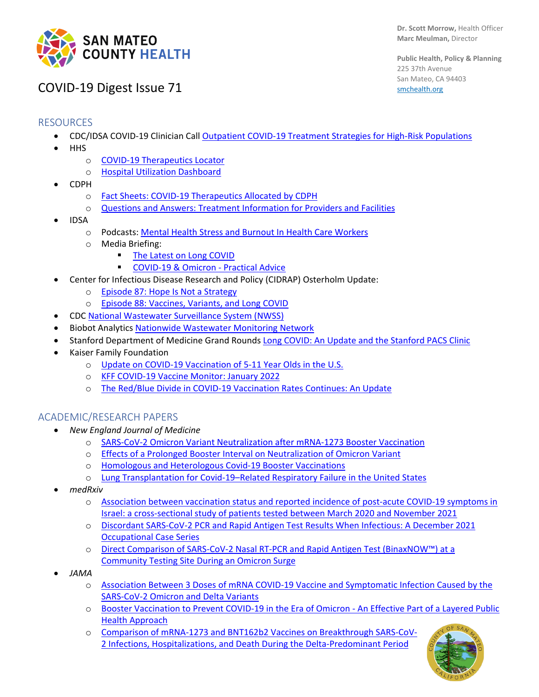

**Public Health, Policy & Planning** 225 37th Avenue San Mateo, CA 94403 [smchealth.org](https://www.smchealth.org/)

# COVID-19 Digest Issue 71

### RESOURCES

- CDC/IDSA COVID-19 Clinician Call [Outpatient COVID-19 Treatment Strategies for High-Risk Populations](https://www.idsociety.org/multimedia/clinician-calls/cdcidsa-covid-19-clinician-call-outpatient-covid-19-treatment-strategies-for-high-risk-populations/)
- HHS
	- o [COVID-19 Therapeutics Locator](https://covid-19-therapeutics-locator-dhhs.hub.arcgis.com/)
	- o [Hospital Utilization Dashboard](https://protect-public.hhs.gov/pages/hospital-utilization)
- CDPH
	- o [Fact Sheets: COVID-19 Therapeutics Allocated by CDPH](https://www.cdph.ca.gov/Programs/CID/DCDC/Pages/COVID-19/Fact-Sheets-COVID-19-Therapeutics.aspx)
	- o [Questions and Answers: Treatment Information for Providers and Facilities](https://www.cdph.ca.gov/Programs/CID/DCDC/Pages/COVID-19/Questions-and-Answers-Treatment-Information-for-Providers-and-Facilities.aspx)
- IDSA
	- o Podcasts: [Mental Health Stress and Burnout In Health Care Workers](https://www.idsociety.org/multimedia/podcasts/mental-health-stress-and-burnout-in-health-care-workers/)
	- o Media Briefing:
		- [The Latest on Long COVID](https://www.idsociety.org/multimedia/videos/idsa-media-briefing-the-latest-on-long-covid/)
			- **[COVID-19 & Omicron -](https://www.idsociety.org/multimedia/videos/idsa-media-briefing-covid-19--omicron---practical-advice/) Practical Advice**
- Center for Infectious Disease Research and Policy (CIDRAP) Osterholm Update:
	- o [Episode 87: Hope Is Not a Strategy](https://www.cidrap.umn.edu/covid-19/podcasts-webinars/episode-87)
	- o [Episode 88: Vaccines, Variants, and Long COVID](https://www.cidrap.umn.edu/covid-19/podcasts-webinars/episode-88)
- CDC [National Wastewater Surveillance System \(NWSS\)](https://www.cdc.gov/healthywater/surveillance/wastewater-surveillance/wastewater-surveillance.html?CDC_AA_refVal=https://www.cdc.gov/coronavirus/2019-ncov/cases-updates/wastewater-surveillance.html)
- Biobot Analytics [Nationwide Wastewater Monitoring Network](https://biobot.io/data/)
- Stanford Department of Medicine Grand Rounds [Long COVID: An Update and the Stanford PACS Clinic](https://www.youtube.com/watch?v=jbc_NhIRgcM)
- Kaiser Family Foundation
	- o [Update on COVID-19 Vaccination of 5-11 Year Olds in the U.S.](https://www.kff.org/coronavirus-covid-19/issue-brief/update-on-covid-19-vaccination-of-5-11-year-olds-in-the-u-s/)
	- o [KFF COVID-19 Vaccine Monitor: January 2022](https://www.kff.org/coronavirus-covid-19/poll-finding/kff-covid-19-vaccine-monitor-january-2022/)
	- o [The Red/Blue Divide in COVID-19 Vaccination Rates Continues: An Update](https://www.kff.org/policy-watch/the-red-blue-divide-in-covid-19-vaccination-rates-continues-an-update/?utm_campaign=KFF-2022-Coronavirus&utm_medium=email&_hsmi=201313193&_hsenc=p2ANqtz-9BnJ1unNEGZVnXUr7xcrapi8C3ri8H1JZCcjZD9zdcha4_TktpdIO-VB_jJNeDOlpn9Llm_8vR8FUjHcxC04oL-CoVRA&utm_content=201313193&utm_source=hs_email)

#### ACADEMIC/RESEARCH PAPERS

- *New England Journal of Medicine*
	- o [SARS-CoV-2 Omicron Variant Neutralization after mRNA-1273 Booster Vaccination](https://www.nejm.org/doi/full/10.1056/NEJMc2119912)
	- o [Effects of a Prolonged Booster Interval on Neutralization of Omicron Variant](https://www.nejm.org/doi/full/10.1056/NEJMc2119426)
	- o [Homologous and Heterologous Covid-19 Booster Vaccinations](https://www.nejm.org/doi/full/10.1056/NEJMoa2116414)
	- o [Lung Transplantation for Covid-19–Related Respiratory Failure in the United States](https://www.nejm.org/doi/10.1056/NEJMc2117024)
- *medRxiv*
	- o [Association between vaccination status and reported incidence of post-acute COVID-19 symptoms in](https://www.medrxiv.org/content/10.1101/2022.01.05.22268800v2)  [Israel: a cross-sectional study of patients tested between March 2020 and November 2021](https://www.medrxiv.org/content/10.1101/2022.01.05.22268800v2)
	- o [Discordant SARS-CoV-2 PCR and Rapid Antigen Test Results When Infectious: A December 2021](https://www.medrxiv.org/content/10.1101/2022.01.04.22268770v1)  [Occupational Case Series](https://www.medrxiv.org/content/10.1101/2022.01.04.22268770v1)
	- o [Direct Comparison of SARS-CoV-2 Nasal RT-PCR and Rapid Antigen Test \(BinaxNOW™\) at a](https://www.medrxiv.org/content/10.1101/2022.01.08.22268954v4)  [Community Testing Site During an Omicron Surge](https://www.medrxiv.org/content/10.1101/2022.01.08.22268954v4)
- *JAMA*
	- o [Association Between 3 Doses of mRNA COVID-19 Vaccine and Symptomatic Infection Caused by the](https://jamanetwork.com/journals/jama/fullarticle/2788485)  [SARS-CoV-2 Omicron and Delta Variants](https://jamanetwork.com/journals/jama/fullarticle/2788485)
	- o [Booster Vaccination to Prevent COVID-19 in the Era of Omicron -](https://jamanetwork.com/journals/jama/fullarticle/2788487) An Effective Part of a Layered Public [Health Approach](https://jamanetwork.com/journals/jama/fullarticle/2788487)
	- o [Comparison of mRNA-1273 and BNT162b2 Vaccines on Breakthrough SARS-CoV-](https://jamanetwork.com/journals/jama/fullarticle/2788408)[2 Infections, Hospitalizations, and Death During the Delta-Predominant Period](https://jamanetwork.com/journals/jama/fullarticle/2788408)

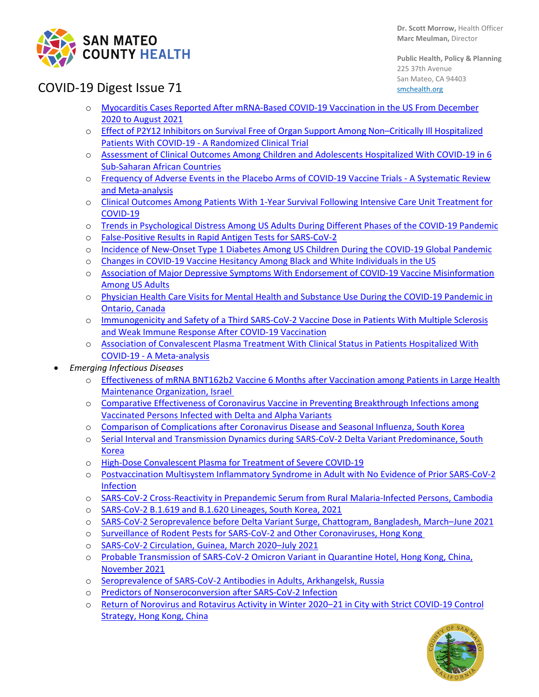

**Public Health, Policy & Planning** 225 37th Avenue San Mateo, CA 94403 [smchealth.org](https://www.smchealth.org/)

# COVID-19 Digest Issue 71

- o [Myocarditis Cases Reported After mRNA-Based COVID-19 Vaccination in the US From December](https://jamanetwork.com/journals/jama/fullarticle/2788346)  [2020 to August 2021](https://jamanetwork.com/journals/jama/fullarticle/2788346)
- o [Effect of P2Y12 Inhibitors on Survival Free of Organ Support Among Non–Critically Ill Hospitalized](https://jamanetwork.com/journals/jama/fullarticle/2788141)  Patients With COVID-19 - [A Randomized Clinical Trial](https://jamanetwork.com/journals/jama/fullarticle/2788141)
- o [Assessment of Clinical Outcomes Among Children and Adolescents Hospitalized With COVID-19 in 6](https://jamanetwork.com/journals/jamapediatrics/fullarticle/2788373)  [Sub-Saharan African Countries](https://jamanetwork.com/journals/jamapediatrics/fullarticle/2788373)
- o [Frequency of Adverse Events in the Placebo Arms of COVID-19 Vaccine Trials -](https://jamanetwork.com/journals/jamanetworkopen/fullarticle/2788172) A Systematic Review [and Meta-analysis](https://jamanetwork.com/journals/jamanetworkopen/fullarticle/2788172)
- o [Clinical Outcomes Among Patients With 1-Year Survival Following Intensive Care Unit Treatment for](https://jamanetwork.com/journals/jama/fullarticle/2788504)  [COVID-19](https://jamanetwork.com/journals/jama/fullarticle/2788504)
- o [Trends in Psychological Distress Among US Adults During Different Phases of the COVID-19 Pandemic](https://jamanetwork.com/journals/jamanetworkopen/fullarticle/2788313)
- o [False-Positive Results in Rapid Antigen Tests for SARS-CoV-2](https://jamanetwork.com/journals/jama/fullarticle/2788067)
- o [Incidence of New-Onset Type 1 Diabetes Among US Children During the COVID-19 Global Pandemic](https://jamanetwork.com/journals/jamapediatrics/fullarticle/2788283)
- o [Changes in COVID-19 Vaccine Hesitancy Among Black and White Individuals in the US](https://jamanetwork.com/journals/jamanetworkopen/fullarticle/2788286)
- o [Association of Major Depressive Symptoms With Endorsement of COVID-19 Vaccine Misinformation](https://jamanetwork.com/journals/jamanetworkopen/fullarticle/2788284)  Among [US Adults](https://jamanetwork.com/journals/jamanetworkopen/fullarticle/2788284)
- o [Physician Health Care Visits for Mental Health and Substance Use During the COVID-19 Pandemic in](https://jamanetwork.com/journals/jamanetworkopen/fullarticle/2788289)  [Ontario, Canada](https://jamanetwork.com/journals/jamanetworkopen/fullarticle/2788289)
- o [Immunogenicity and Safety of a Third SARS-CoV-2 Vaccine Dose in Patients With Multiple Sclerosis](https://jamanetwork.com/journals/jamaneurology/fullarticle/2787974)  [and Weak Immune Response After COVID-19 Vaccination](https://jamanetwork.com/journals/jamaneurology/fullarticle/2787974)
- o [Association of Convalescent Plasma Treatment With Clinical Status in Patients Hospitalized With](https://jamanetwork.com/journals/jamanetworkopen/fullarticle/2788377)  COVID-19 - [A Meta-analysis](https://jamanetwork.com/journals/jamanetworkopen/fullarticle/2788377)
- *Emerging Infectious Diseases*
	- o [Effectiveness of mRNA BNT162b2 Vaccine 6 Months after Vaccination among Patients in Large Health](https://protect-us.mimecast.com/s/_k5eCXDXrxF5gmYBcWf3fn)  [Maintenance Organization, Israel](https://protect-us.mimecast.com/s/_k5eCXDXrxF5gmYBcWf3fn)
	- o [Comparative Effectiveness of Coronavirus Vaccine in Preventing Breakthrough Infections among](https://protect-us.mimecast.com/s/vqDyCYEYypC1v5xkFKreCa)  [Vaccinated Persons Infected with Delta and Alpha Variants](https://protect-us.mimecast.com/s/vqDyCYEYypC1v5xkFKreCa)
	- o [Comparison of Complications after Coronavirus Disease and Seasonal Influenza, South Korea](https://protect-us.mimecast.com/s/4H9wC31ryRcAPZQ7urzXW3)
	- o [Serial Interval and Transmission Dynamics during SARS-CoV-2 Delta Variant Predominance, South](https://protect-us.mimecast.com/s/FMvpC82zM8IvA9ROsOP088)  [Korea](https://protect-us.mimecast.com/s/FMvpC82zM8IvA9ROsOP088)
	- o [High-Dose Convalescent Plasma for Treatment of Severe COVID-19](https://protect-us.mimecast.com/s/18iiCOYXPlTRjBBEIwc6RR)
	- o [Postvaccination Multisystem Inflammatory Syndrome in Adult with No Evidence of Prior SARS-CoV-2](https://protect-us.mimecast.com/s/Tr-VC9rAD6h368BRu7fbcY)  [Infection](https://protect-us.mimecast.com/s/Tr-VC9rAD6h368BRu7fbcY)
	- o [SARS-CoV-2 Cross-Reactivity in Prepandemic Serum from Rural Malaria-Infected Persons, Cambodia](https://protect-us.mimecast.com/s/uXZPC0Ro0qIo9j3JsxppWI)
	- o [SARS-CoV-2 B.1.619 and B.1.620 Lineages, South Korea, 2021](https://protect-us.mimecast.com/s/B2wRCo2njRIq1kzlhAX2YT)
	- o [SARS-CoV-2 Seroprevalence before Delta Variant Surge, Chattogram, Bangladesh, March–June 2021](https://protect-us.mimecast.com/s/tN-jCpYokwTMJ58QuniIC8)
	- o [Surveillance of Rodent Pests for SARS-CoV-2 and Other Coronaviruses, Hong Kong](https://protect-us.mimecast.com/s/DR_LCrkqmZFVzxvwCEmmlc)
	- o [SARS-CoV-2 Circulation, Guinea, March 2020–July 2021](https://protect-us.mimecast.com/s/wza3Cv2x8qINPv6OUpchfK)
	- o [Probable Transmission of SARS-CoV-2 Omicron Variant in Quarantine Hotel, Hong Kong, China,](https://protect-us.mimecast.com/s/GEiDCwpyK9c84o10h09TFK)  [November 2021](https://protect-us.mimecast.com/s/GEiDCwpyK9c84o10h09TFK)
	- o [Seroprevalence of SARS-CoV-2 Antibodies in Adults, Arkhangelsk, Russia](https://protect-us.mimecast.com/s/pKfrCERX0OI9zBD1FNwpb8k)
	- o [Predictors of Nonseroconversion after SARS-CoV-2 Infection](https://protect-us.mimecast.com/s/FGYnCM8KJDcOLjZxcwGB2aN)
	- o [Return of Norovirus and Rotavirus Activity in Winter 2020‒21 in City with Strict COVID](https://protect-us.mimecast.com/s/lPtoCJ6KNDcrw4RmuK6uEx)-19 Control [Strategy, Hong Kong, China](https://protect-us.mimecast.com/s/lPtoCJ6KNDcrw4RmuK6uEx)

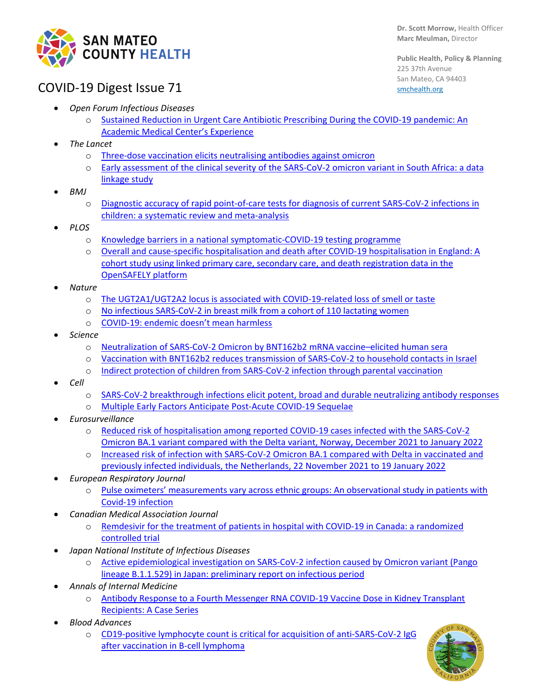

## COVID-19 Digest Issue 71

**Public Health, Policy & Planning** 225 37th Avenue San Mateo, CA 94403 [smchealth.org](https://www.smchealth.org/)

- *Open Forum Infectious Diseases*
	- Sustained Reduction in Urgent Care Antibiotic Prescribing During the COVID-19 pandemic: An [Academic Medical Center's Experience](https://academic.oup.com/ofid/advance-article/doi/10.1093/ofid/ofab662/6513825?login=false)
- *The Lancet*
	- o [Three-dose vaccination elicits neutralising antibodies against omicron](https://www.thelancet.com/journals/lancet/article/PIIS0140-6736(22)00092-7/fulltext)
	- o [Early assessment of the clinical severity of the SARS-CoV-2 omicron variant in South Africa: a data](https://www.thelancet.com/journals/lancet/article/PIIS0140-6736(22)00017-4/fulltext)  [linkage study](https://www.thelancet.com/journals/lancet/article/PIIS0140-6736(22)00017-4/fulltext)
- *BMJ*
	- o [Diagnostic accuracy of rapid point-of-care tests for diagnosis of current SARS-CoV-2 infections in](https://ebm.bmj.com/content/early/2022/01/04/bmjebm-2021-111828)  [children: a systematic review and meta-analysis](https://ebm.bmj.com/content/early/2022/01/04/bmjebm-2021-111828)
- *PLOS*
	- o [Knowledge barriers in a national symptomatic-COVID-19 testing programme](https://journals.plos.org/globalpublichealth/article?id=10.1371/journal.pgph.0000028)
	- o [Overall and cause-specific hospitalisation and death after COVID-19 hospitalisation in England: A](https://journals.plos.org/plosmedicine/article?id=10.1371/journal.pmed.1003871)  [cohort study using linked primary care, secondary care, and death registration data in the](https://journals.plos.org/plosmedicine/article?id=10.1371/journal.pmed.1003871)  [OpenSAFELY platform](https://journals.plos.org/plosmedicine/article?id=10.1371/journal.pmed.1003871)
- *Nature*
	- o The UGT2A1/UGT2A2 [locus is associated with COVID-19-related loss of smell or taste](https://www.nature.com/articles/s41588-021-00986-w)
	- o [No infectious SARS-CoV-2 in breast milk from a cohort of 110 lactating women](https://www.nature.com/articles/s41390-021-01902-y)
	- o [COVID-19: endemic doesn't mean harmless](https://www.nature.com/articles/d41586-022-00155-x)
- *Science* 
	- o [Neutralization of SARS-CoV-2 Omicron by BNT162b2 mRNA vaccine–elicited human sera](https://www.science.org/doi/10.1126/science.abn7591)
	- o [Vaccination with BNT162b2 reduces transmission of SARS-CoV-2 to household contacts in Israel](https://www.science.org/doi/10.1126/science.abl4292)
	- o [Indirect protection of children from SARS-CoV-2 infection through parental vaccination](https://www.science.org/doi/10.1126/science.abm3087)
- *Cell*
	- o [SARS-CoV-2 breakthrough infections elicit potent, broad and durable neutralizing antibody responses](https://www.cell.com/cell/pdf/S0092-8674(22)00069-1.pdf?_returnURL=https%3A%2F%2Flinkinghub.elsevier.com%2Fretrieve%2Fpii%2FS0092867422000691%3Fshowall%3Dtrue)
	- o [Multiple Early Factors Anticipate Post-Acute COVID-19 Sequelae](https://www.cell.com/cell/pdf/S0092-8674(22)00072-1.pdf?_returnURL=https%3A%2F%2Flinkinghub.elsevier.com%2Fretrieve%2Fpii%2FS0092867422000721%3Fshowall%3Dtrue)
- *Eurosurveillance* 
	- o [Reduced risk of hospitalisation among reported COVID-19 cases infected with the SARS-CoV-2](https://www.eurosurveillance.org/content/10.2807/1560-7917.ES.2022.27.4.2200077)  [Omicron BA.1 variant compared with the Delta variant, Norway, December 2021 to January 2022](https://www.eurosurveillance.org/content/10.2807/1560-7917.ES.2022.27.4.2200077)
	- o [Increased risk of infection with SARS-CoV-2 Omicron BA.1 compared with Delta in vaccinated and](https://www.eurosurveillance.org/content/10.2807/1560-7917.ES.2022.27.4.2101196)  [previously infected individuals, the Netherlands, 22 November 2021 to 19 January 2022](https://www.eurosurveillance.org/content/10.2807/1560-7917.ES.2022.27.4.2101196)
- *European Respiratory Journal*
	- Pulse oximeters' measurements vary across ethnic groups: An observational study in patients with [Covid-19 infection](https://erj.ersjournals.com/content/early/2022/01/20/13993003.03246-2021)
- *Canadian Medical Association Journal*
	- o [Remdesivir for the treatment of patients in hospital with COVID-19 in Canada: a randomized](https://www.cmaj.ca/content/early/2022/01/19/cmaj.211698)  [controlled trial](https://www.cmaj.ca/content/early/2022/01/19/cmaj.211698)
- *Japan National Institute of Infectious Diseases*
	- o [Active epidemiological investigation on SARS-CoV-2 infection caused by Omicron variant \(Pango](https://www.niid.go.jp/niid/en/2019-ncov-e/10884-covid19-66-en.html)  [lineage B.1.1.529\) in Japan: preliminary report on infectious period](https://www.niid.go.jp/niid/en/2019-ncov-e/10884-covid19-66-en.html)
- *Annals of Internal Medicine* 
	- o [Antibody Response to a Fourth Messenger RNA COVID-19 Vaccine Dose in Kidney Transplant](https://www.acpjournals.org/doi/10.7326/L21-0598)  [Recipients: A Case Series](https://www.acpjournals.org/doi/10.7326/L21-0598)
- *Blood Advances*
	- o [CD19-positive lymphocyte count is critical for acquisition of anti-SARS-CoV-2 IgG](https://ashpublications.org/bloodadvances/article/doi/10.1182/bloodadvances.2021006302/483520/CD19-positive-lymphocyte-count-is-critical-for)  [after vaccination in B-cell lymphoma](https://ashpublications.org/bloodadvances/article/doi/10.1182/bloodadvances.2021006302/483520/CD19-positive-lymphocyte-count-is-critical-for)

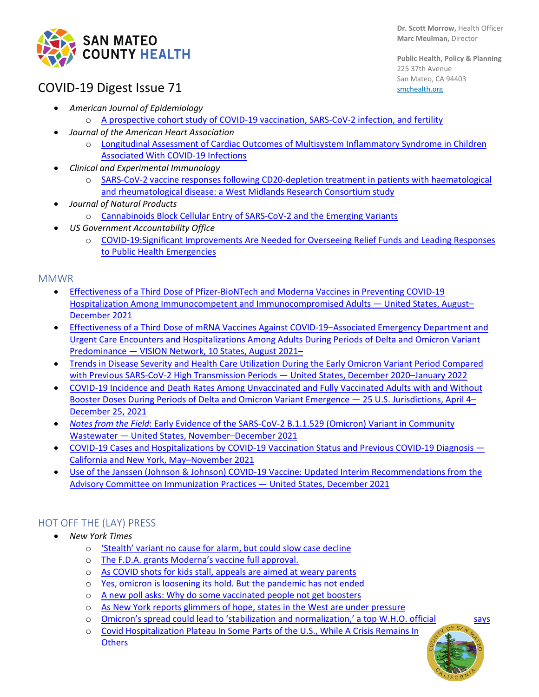

**Public Health, Policy & Planning** 225 37th Avenue San Mateo, CA 94403 [smchealth.org](https://www.smchealth.org/)

# COVID-19 Digest Issue 71

- *American Journal of Epidemiology* 
	- o [A prospective cohort study of COVID-19 vaccination, SARS-CoV-2 infection, and fertility](https://academic.oup.com/aje/advance-article/doi/10.1093/aje/kwac011/6511811)
- *Journal of the American Heart Association*
	- o [Longitudinal Assessment of Cardiac Outcomes of Multisystem Inflammatory Syndrome in Children](https://www.ahajournals.org/doi/10.1161/JAHA.121.023251)  [Associated With COVID-19 Infections](https://www.ahajournals.org/doi/10.1161/JAHA.121.023251)
- *Clinical and Experimental Immunology*
	- o [SARS-CoV-2 vaccine responses following CD20-depletion treatment in patients with haematological](https://academic.oup.com/cei/article/207/1/3/6446890)  [and rheumatological disease: a West Midlands Research Consortium study](https://academic.oup.com/cei/article/207/1/3/6446890)
- *Journal of Natural Products* 
	- o [Cannabinoids Block Cellular Entry of SARS-CoV-2 and the Emerging Variants](https://pubs.acs.org/doi/pdf/10.1021/acs.jnatprod.1c00946)
- *US Government Accountability Office* 
	- o [COVID-19:Significant Improvements Are Needed for Overseeing Relief Funds and Leading Responses](https://www.gao.gov/products/gao-22-105291)  [to Public Health Emergencies](https://www.gao.gov/products/gao-22-105291)

#### **MMWR**

- [Effectiveness of a Third Dose of Pfizer-BioNTech and Moderna Vaccines in Preventing COVID-19](https://protect-us.mimecast.com/s/5ULACPNKzmuGwxkAuZtQnb)  [Hospitalization Among Immunocompetent and Immunocompromised Adults —](https://protect-us.mimecast.com/s/5ULACPNKzmuGwxkAuZtQnb) United States, August– [December 2021](https://protect-us.mimecast.com/s/5ULACPNKzmuGwxkAuZtQnb)
- Effectiveness of a Third Dose of mRNA Vaccines Against COVID-19–Associated Emergency Department and [Urgent Care Encounters and Hospitalizations Among Adults During Periods of Delta and Omicron Variant](https://www.cdc.gov/mmwr/volumes/71/wr/mm7104e3.htm)  Predominance — [VISION Network, 10 States, August 2021–](https://www.cdc.gov/mmwr/volumes/71/wr/mm7104e3.htm)
- [Trends in Disease Severity and Health Care Utilization During the Early Omicron Variant Period Compared](https://protect-us.mimecast.com/s/z1BVCXDXrxF5R6zjCkBZc8)  [with Previous SARS-CoV-2 High Transmission Periods —](https://protect-us.mimecast.com/s/z1BVCXDXrxF5R6zjCkBZc8) United States, December 2020–January 2022
- [COVID-19 Incidence and Death Rates Among Unvaccinated and Fully Vaccinated Adults with and Without](https://www.cdc.gov/mmwr/volumes/71/wr/mm7104e2.htm)  [Booster Doses During Periods of Delta and Omicron Variant Emergence —](https://www.cdc.gov/mmwr/volumes/71/wr/mm7104e2.htm) 25 U.S. Jurisdictions, April 4– [December 25, 2021](https://www.cdc.gov/mmwr/volumes/71/wr/mm7104e2.htm)
- *Notes from the Field*[: Early Evidence of the SARS-CoV-2 B.1.1.529 \(Omicron\) Variant in Community](https://www.cdc.gov/mmwr/volumes/71/wr/mm7103a5.htm?ACSTrackingID=USCDC_935_DM73591&ACSTrackingLabel=New%20Report%3A%20Detecting%20COVID-19%20Variants%20in%20Wastewater&deliveryName=USCDC_935_DM73591)  Wastewater — [United States, November–December 2021](https://www.cdc.gov/mmwr/volumes/71/wr/mm7103a5.htm?ACSTrackingID=USCDC_935_DM73591&ACSTrackingLabel=New%20Report%3A%20Detecting%20COVID-19%20Variants%20in%20Wastewater&deliveryName=USCDC_935_DM73591)
- [COVID-19 Cases and Hospitalizations by COVID-19 Vaccination Status and Previous COVID-19 Diagnosis —](https://protect-us.mimecast.com/s/CEWsC5ywRnFjL8Glf2g8eP) [California and New York, May–November 2021](https://protect-us.mimecast.com/s/CEWsC5ywRnFjL8Glf2g8eP)
- [Use of the Janssen \(Johnson & Johnson\) COVID-19 Vaccine: Updated Interim Recommendations from the](https://protect-us.mimecast.com/s/esCSCkRjrQIWBy4NCyhrLJ)  [Advisory Committee on Immunization Practices —](https://protect-us.mimecast.com/s/esCSCkRjrQIWBy4NCyhrLJ) United States, December 2021

### HOT OFF THE (LAY) PRESS

- *New York Times*
	- o ['Stealth' variant no cause for alarm, but could slow case decline](https://www.nytimes.com/2022/01/30/health/stealth-omicron-variant.html)
	- o [The F.D.A. grants Moderna's vaccine full approval.](https://www.nytimes.com/live/2022/01/31/world/omicron-covid-vaccine-tests#the-fda-grants-modernas-vaccine-full-approval)
	- o [As COVID shots for kids stall, appeals are aimed at weary parents](https://www.nytimes.com/2022/01/29/health/covid-vaccine-children.html)
	- o [Yes, omicron is loosening its hold. But the pandemic has not ended](https://www.nytimes.com/2022/01/27/health/omicron-covid-pandemic.html)
	- o [A new poll asks: Why do some vaccinated people not get boosters](https://www.nytimes.com/live/2022/01/28/world/omicron-covid-vaccine-tests#a-new-poll-asks-why-do-some-vaccinated-people-not-get-boosters)
	- o [As New York reports glimmers of hope, states in the West are under pressure](https://www.nytimes.com/live/2022/01/23/world/omicron-covid-vaccine-tests#as-new-york-reports-glimmers-of-hope-states-in-the-west-are-under-pressure)
	- o [Omicron's spread could lead to 'stabilization and normalization,' a top W.H.O. official says](https://www.nytimes.com/live/2022/01/24/world/omicron-covid-vaccine-tests/who-expresses-hope-that-omicrons-spread-could-lead-to-stabilization-and-normalization)
	- o [Covid Hospitalization Plateau In Some Parts of the U.S., While A Crisis Remains In](https://www.nytimes.com/interactive/2022/01/21/us/covid-hospitalizations.html)  **[Others](https://www.nytimes.com/interactive/2022/01/21/us/covid-hospitalizations.html)**

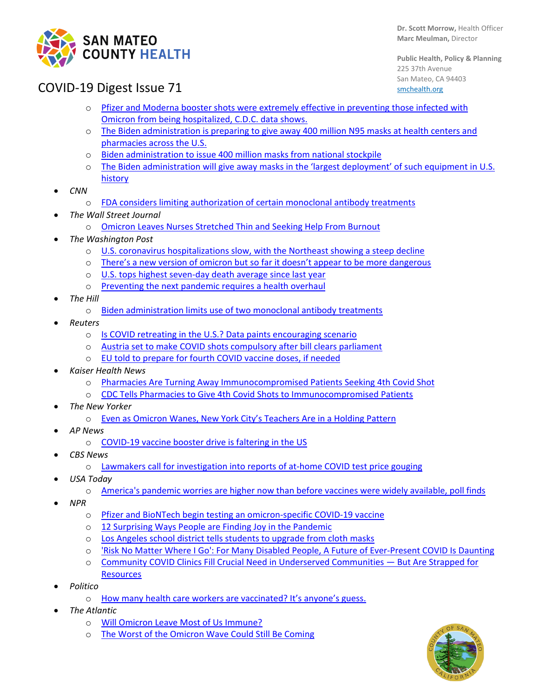

**Public Health, Policy & Planning** 225 37th Avenue San Mateo, CA 94403 [smchealth.org](https://www.smchealth.org/)

## COVID-19 Digest Issue 71

- o [Pfizer and Moderna booster shots were extremely effective in preventing those infected with](https://protect-us.mimecast.com/s/fUMMCW6KQOc9YvlJfKsGND)  [Omicron from being hospitalized, C.D.C. data shows.](https://protect-us.mimecast.com/s/fUMMCW6KQOc9YvlJfKsGND)
- o [The Biden administration is preparing to give away 400 million N95 masks at health centers and](https://protect-us.mimecast.com/s/8dBzCNkKYDFlmkxXhj0SmB)  [pharmacies across the U.S.](https://protect-us.mimecast.com/s/8dBzCNkKYDFlmkxXhj0SmB)
- o [Biden administration to issue 400 million masks from national stockpile](https://www.nytimes.com/live/2022/01/19/world/omicron-covid-vaccine-tests#usps-covid-free-kits)
- o The Biden administration will [give away masks in the 'largest deployment' of such equipment in U.S.](https://www.nytimes.com/live/2022/01/19/world/omicron-covid-vaccine-tests#covid-biden-free-masks)  [history](https://www.nytimes.com/live/2022/01/19/world/omicron-covid-vaccine-tests#covid-biden-free-masks)
- *CNN*
	- o [FDA considers limiting authorization of certain monoclonal antibody treatments](https://www.cnn.com/2022/01/22/health/fda-authorize-monoclonal-antibodies/index.html)
- *The Wall Street Journal*
	- o [Omicron Leaves Nurses Stretched Thin and Seeking Help From Burnout](https://www.wsj.com/articles/omicron-leaves-nurses-stretched-thin-and-seeking-help-from-burnout-11643025604?mod=hp_lead_pos5)
- *The Washington Post*
	- o [U.S. coronavirus hospitalizations slow, with the Northeast showing a steep decline](https://www.washingtonpost.com/health/2022/01/26/us-coronavirus-hospitalizations-omicron/)
	- o There's a new [version of omicron but so far it doesn't appear to be more dangerous](https://www.washingtonpost.com/health/2022/01/24/covid-omicron-ba2/)
	- o [U.S. tops highest seven-day death average since last year](https://www.washingtonpost.com/nation/2022/01/25/covid-omicron-variant-live-updates/)
	- o [Preventing the next pandemic requires a health overhaul](https://www.washingtonpost.com/opinions/2022/01/26/prevent-another-pandemic-disaster-we-must-fix-public-health/)
- *The Hill*
	- o [Biden administration limits use of two monoclonal antibody treatments](https://thehill.com/policy/healthcare/591129-biden-administration-limits-use-of-two-monoclonal-antibody-treatments)
- *Reuters*
	- o [Is COVID retreating in the U.S.? Data paints encouraging scenario](https://www.reuters.com/world/the-great-reboot/is-covid-retreating-us-data-paints-encouraging-scenario-2022-01-21/)
	- o [Austria set to make COVID shots compulsory after bill clears parliament](https://www.reuters.com/world/europe/austria-introduces-lottery-covid-vaccine-incentive-2022-01-20/)
	- o [EU told to prepare for fourth COVID vaccine](https://www.reuters.com/world/europe/eu-health-ministers-seek-common-line-over-fourth-covid-vaccine-dose-2022-01-21/) doses, if needed
- *Kaiser Health News*
	- o [Pharmacies Are Turning Away Immunocompromised Patients Seeking 4th Covid Shot](https://khn.org/news/article/pharmacies-are-turning-away-immunocompromised-patients-seeking-4th-covid-shot/)
	- o [CDC Tells Pharmacies to Give 4th Covid Shots to Immunocompromised Patients](https://khn.org/news/article/cdc-tells-pharmacies-to-give-4th-covid-shots-to-immunocompromised-patients/)
- *The New Yorker*
	- o [Even as Omicron Wanes, New York City's Teachers Are in a Holding Pattern](https://www.newyorker.com/news/annals-of-education/even-as-omicron-wanes-new-york-citys-teachers-are-in-a-holding-pattern?utm_source=nl&utm_brand=tny&utm_mailing=TNY_Daily_Control_012022&utm_campaign=aud-dev&utm_medium=email&utm_term=tny_daily_recirc&bxid=5ec224d8a9edff5527505caa&cndid=61138842&hasha=76b0e58c87ce9b677e5e3efd8b84d7fb&hashb=fa8a4a6606c166f8a143fab9ad9fa1141b3aff96&hashc=11145baac4d4317848bac507e196627100d5d91f193bad3d6809aa4e38588cfb&esrc=bounceX&mbid=CRMNYR012019)
- *AP News*
	- o [COVID-19 vaccine booster drive is faltering in the US](https://apnews.com/article/coronavirus-pandemic-health-492fb86ff65c0f9a2d87b129e5da90a4)
- *CBS News*
	- o [Lawmakers call for investigation into reports of at-home COVID test price gouging](https://www.cbsnews.com/news/senators-seek-information-covid-test-price-gouging/)
- *USA Today*
	- o [America's pandemic worries are higher now than before vaccines were widely available, poll finds](https://www.usatoday.com/story/news/nation/2022/01/20/covid-19-worries-social-distancing-up-omicron-surges-gallup-poll/6582771001/)
- *NPR*
	- o [Pfizer and BioNTech begin testing an omicron-specific COVID-19 vaccine](https://www.npr.org/2022/01/25/1075519101/omicron-vaccine-covid-19-pfizer-biontech)
	- o [12 Surprising Ways People are Finding Joy in the Pandemic](https://www.npr.org/sections/health-shots/2022/01/22/1074057166/find-joy-covid-pandemic)
	- o Los Angeles school [district tells students to upgrade from cloth masks](https://www.npr.org/2022/01/23/1075206432/los-angeles-school-district-tells-students-to-upgrade-from-cloth-masks)
	- o ['Risk No Matter Where I Go': For Many Disabled People, A Future of Ever-Present COVID Is Daunting](https://www.kqed.org/news/11902253/risk-no-matter-where-i-go-for-many-disabled-people-a-future-of-ever-present-covid-is-daunting)
	- o [Community COVID Clinics Fill Crucial Need in Underserved Communities —](https://www.kqed.org/news/11902149/community-covid-clinics-fill-crucial-need-in-underserved-communities-but-are-strapped-for-resources) But Are Strapped for **[Resources](https://www.kqed.org/news/11902149/community-covid-clinics-fill-crucial-need-in-underserved-communities-but-are-strapped-for-resources)**
- *Politico*
	- o [How many health care workers are vaccinated? It's anyone's guess.](https://www.politico.com/news/2022/01/19/health-care-workers-hospitals-vaccinated-527392)
- *The Atlantic*
	- o [Will Omicron Leave Most of Us Immune?](https://www.theatlantic.com/health/archive/2022/01/omicron-wave-immunity/621324/)
	- o [The Worst of the Omicron Wave Could Still Be Coming](https://www.theatlantic.com/science/archive/2022/01/omicron-peak-covid-what-happens-next/621257/?campaign_id=9&emc=edit_nn_20220119&instance_id=50672&nl=the-morning®i_id=130283546&segment_id=80081&te=1&user_id=d8aa95be707fe46c27653a88d04e4dc0)

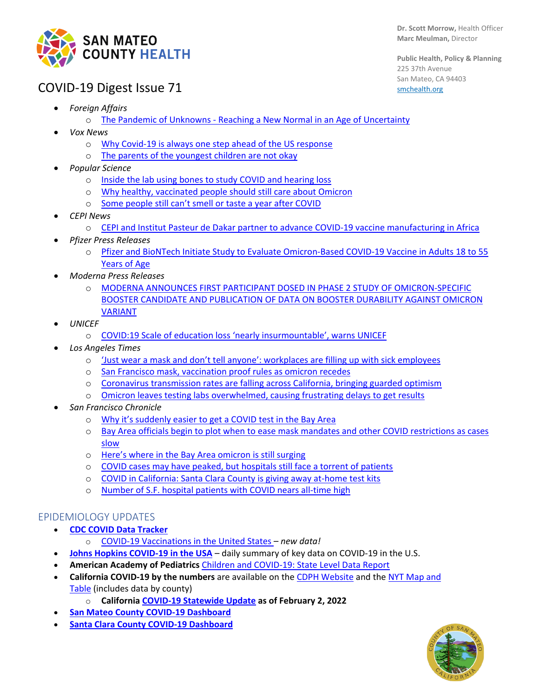

**Public Health, Policy & Planning** 225 37th Avenue San Mateo, CA 94403 [smchealth.org](https://www.smchealth.org/)

## COVID-19 Digest Issue 71

- *Foreign Affairs*
	- o The Pandemic of Unknowns [Reaching a New Normal in an Age of Uncertainty](https://www.foreignaffairs.com/articles/world/2022-01-22/pandemic-unknowns)
- *Vox News*
	- o [Why Covid-19 is always one step ahead of the US response](https://www.vox.com/coronavirus-covid19/2022/1/20/22889364/joe-biden-covid-19-omicron-plan-free-tests-masks)
	- o [The parents of the youngest children are not okay](https://www.vox.com/22892065/omicron-covid-kids-risk-daycare-hospitalizations?fbclid=IwAR1zdtf3aCPFmEs-QTiyeTwOzsSnJ0k0zx_yPkmokmtP4CSYiP2qHuKP2vU)
- *Popular Science* 
	- o [Inside the lab using bones to study COVID and hearing loss](https://www.popsci.com/health/covid-hearing-loss-research/)
	- o [Why healthy, vaccinated people should still care about Omicron](https://www.popsci.com/health/omicron-risk-medical-conditions/)
	- o [Some people still can't smell or taste a year after COVID](https://www.popsci.com/health/covid-smell-taste-long-term-effects/)
- *CEPI News*
	- o [CEPI and Institut Pasteur de Dakar partner to advance COVID-19 vaccine manufacturing in Africa](https://cepi.net/news_cepi/cepi-and-institut-pasteur-de-dakar-partner-to-advance-covid-19-vaccine-manufacturing-in-africa/)
- *Pfizer Press Releases*
	- o [Pfizer and BioNTech Initiate Study to Evaluate Omicron-Based COVID-19 Vaccine in Adults 18 to 55](https://www.pfizer.com/news/press-release/press-release-detail/pfizer-and-biontech-initiate-study-evaluate-omicron-based)  [Years of Age](https://www.pfizer.com/news/press-release/press-release-detail/pfizer-and-biontech-initiate-study-evaluate-omicron-based)
- *Moderna Press Releases*
	- o [MODERNA ANNOUNCES FIRST PARTICIPANT DOSED IN PHASE 2 STUDY OF OMICRON-SPECIFIC](https://investors.modernatx.com/news/news-details/2022/Moderna-Announces-First-Participant-Dosed-in-Phase-2-Study-of-Omicron-Specific-Booster-Candidate-and-Publication-of-Data-on-Booster-Durability-Against-Omicron-Variant/default.aspx)  [BOOSTER CANDIDATE AND PUBLICATION OF DATA ON BOOSTER DURABILITY AGAINST OMICRON](https://investors.modernatx.com/news/news-details/2022/Moderna-Announces-First-Participant-Dosed-in-Phase-2-Study-of-Omicron-Specific-Booster-Candidate-and-Publication-of-Data-on-Booster-Durability-Against-Omicron-Variant/default.aspx)  [VARIANT](https://investors.modernatx.com/news/news-details/2022/Moderna-Announces-First-Participant-Dosed-in-Phase-2-Study-of-Omicron-Specific-Booster-Candidate-and-Publication-of-Data-on-Booster-Durability-Against-Omicron-Variant/default.aspx)
- *UNICEF*
	- o [COVID:19 Scale of education loss 'nearly insurmountable', warns UNICEF](https://www.unicef.org/press-releases/covid19-scale-education-loss-nearly-insurmountable-warns-unicef)
- *Los Angeles Times*
	- o ['Just wear a mask and don't tell anyone': workplaces are filling up with sick employees](https://www.latimes.com/business/story/2022-01-26/covid-testing-rapid-tests-access-sick-leave-cdc-quarantine-workplace-risks)
	- o [San Francisco mask, vaccination proof rules as omicron recedes](https://www.latimes.com/california/story/2022-01-27/san-francisco-eases-mask-vaccination-proof-rules-as-omicron-recedes)
	- o [Coronavirus transmission rates are falling across California, bringing guarded optimism](https://www.latimes.com/california/story/2022-01-20/coronavirus-transmission-rates-falling-across-california)
	- o Omicron [leaves testing labs overwhelmed, causing frustrating delays to get results](https://www.latimes.com/california/story/2022-01-20/omicron-coronavirus-pcr-test-results-delays)
- *San Francisco Chronicle* 
	- o [Why it's suddenly easier to get a COVID test in the Bay Area](https://www.sfchronicle.com/health/article/COVID-19-testing-crisis-spurred-by-omicron-surge-16814932.php)
	- o [Bay Area officials begin to plot when to ease mask mandates and other COVID restrictions as cases](https://www.sfchronicle.com/health/article/Bay-Area-officials-look-to-post-pandemic-life-as-16804244.php)  [slow](https://www.sfchronicle.com/health/article/Bay-Area-officials-look-to-post-pandemic-life-as-16804244.php)
	- o [Here's where in the Bay Area omicron is still surging](https://www.sfchronicle.com/health/article/Here-s-where-in-the-Bay-Area-omicron-is-still-16801041.php)
	- o [COVID cases may have peaked, but hospitals still face a torrent of patients](https://www.sfchronicle.com/health/article/COVID-cases-may-have-peaked-but-hospitals-still-16795312.php)
	- o [COVID in California: Santa Clara County is giving away at-home test kits](https://www.sfchronicle.com/bayarea/article/COVID-in-California-Santa-Clara-County-is-giving-16798518.php)
	- o [Number of S.F. hospital patients with](https://www.sfchronicle.com/health/article/Bay-Area-officials-see-glimmers-of-hope-but-16785829.php) COVID nears all-time high

#### EPIDEMIOLOGY UPDATES

- **[CDC COVID Data Tracker](https://covid.cdc.gov/covid-data-tracker/#datatracker-home)**
	- o [COVID-19 Vaccinations in the United States](https://covid.cdc.gov/covid-data-tracker/#vaccinations_vacc-total-admin-rate-total) *– new data!*
- **[Johns Hopkins COVID-19 in the USA](https://coronavirus.jhu.edu/)** daily summary of key data on COVID-19 in the U.S.
- **American Academy of Pediatrics** [Children and COVID-19: State Level Data Report](https://www.aap.org/en/pages/2019-novel-coronavirus-covid-19-infections/children-and-covid-19-state-level-data-report/)
- **California COVID-19 by the numbers** are available on the [CDPH Website](https://www.cdph.ca.gov/Programs/CID/DCDC/Pages/Immunization/ncov2019.aspx#COVID-19%20by%20the%20Numbers) and the [NYT Map and](https://www.nytimes.com/interactive/2020/us/california-coronavirus-cases.html)  [Table](https://www.nytimes.com/interactive/2020/us/california-coronavirus-cases.html) (includes data by county)
	- o **Californi[a COVID-19 Statewide Update](https://update.covid19.ca.gov/) as of February 2, 2022**
- **[San Mateo County COVID-19 Dashboard](https://www.smchealth.org/post/san-mateo-county-covid-19-data-1)**
- **[Santa Clara County COVID-19 Dashboard](https://www.sccgov.org/sites/covid19/Pages/dashboard.aspx)**